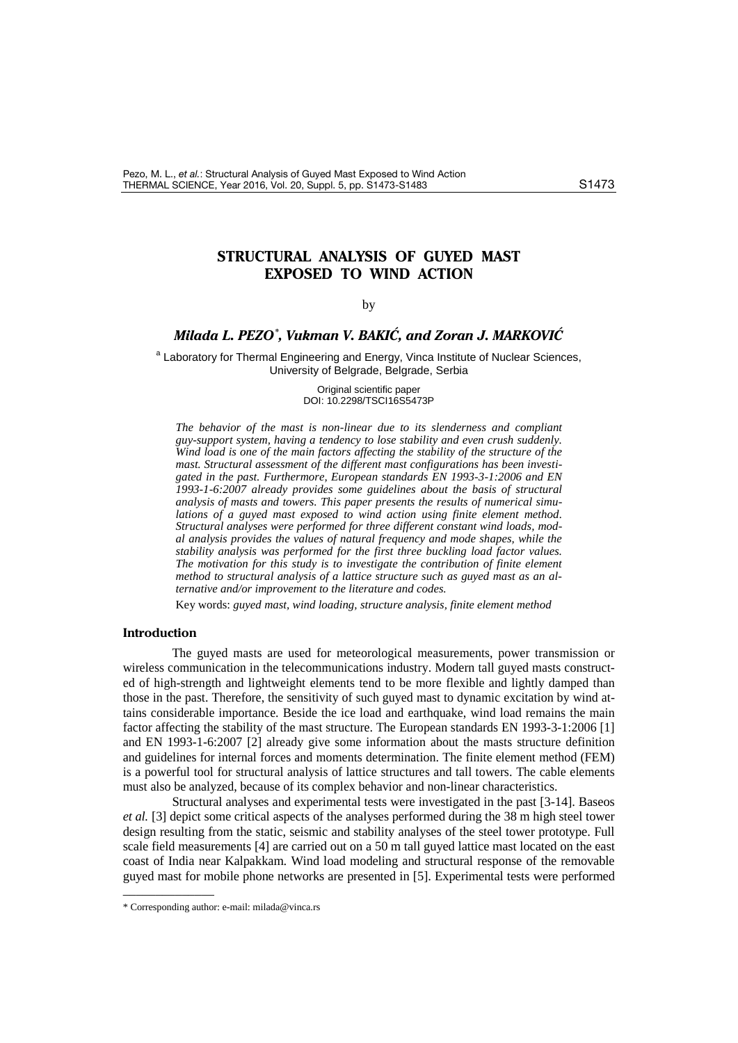# **STRUCTURAL ANALYSIS OF GUYED MAST EXPOSED TO WIND ACTION**

### <span id="page-0-0"></span>by

## *Milada L. PEZO[\\*](#page-0-1) , Vukman V. BAKI], and Zoran J. MARKOVI]*

<sup>a</sup> Laboratory for Thermal Engineering and Energy, Vinca Institute of Nuclear Sciences, University of Belgrade, Belgrade, Serbia

> Original scientific paper DOI: 10.2298/TSCI16S5473P

*The behavior of the mast is non-linear due to its slenderness and compliant guy-support system, having a tendency to lose stability and even crush suddenly. Wind load is one of the main factors affecting the stability of the structure of the mast. Structural assessment of the different mast configurations has been investigated in the past. Furthermore, European standards EN 1993-3-1:2006 and EN 1993-1-6:2007 already provides some guidelines about the basis of structural analysis of masts and towers. This paper presents the results of numerical simulations of a guyed mast exposed to wind action using finite element method. Structural analyses were performed for three different constant wind loads, modal analysis provides the values of natural frequency and mode shapes, while the stability analysis was performed for the first three buckling load factor values. The motivation for this study is to investigate the contribution of finite element method to structural analysis of a lattice structure such as guyed mast as an alternative and/or improvement to the literature and codes.*

Key words: *guyed mast, wind loading, structure analysis, finite element method*

## **Introduction**

The guyed masts are used for meteorological measurements, power transmission or wireless communication in the telecommunications industry. Modern tall guyed masts constructed of high-strength and lightweight elements tend to be more flexible and lightly damped than those in the past. Therefore, the sensitivity of such guyed mast to dynamic excitation by wind attains considerable importance. Beside the ice load and earthquake, wind load remains the main factor affecting the stability of the mast structure. The European standards EN 1993-3-1:2006 [1] and EN 1993-1-6:2007 [2] already give some information about the masts structure definition and guidelines for internal forces and moments determination. The finite element method (FEM) is a powerful tool for structural analysis of lattice structures and tall towers. The cable elements must also be analyzed, because of its complex behavior and non-linear characteristics.

Structural analyses and experimental tests were investigated in the past [3-14]. Baseos *et al.* [3] depict some critical aspects of the analyses performed during the 38 m high steel tower design resulting from the static, seismic and stability analyses of the steel tower prototype. Full scale field measurements [4] are carried out on a 50 m tall guyed lattice mast located on the east coast of India near Kalpakkam. Wind load modeling and structural response of the removable guyed mast for mobile phone networks are presented in [5]. Experimental tests were performed

––––––––––––––

<span id="page-0-1"></span><sup>\*</sup> Corresponding author: e-mail: milada@vinca.rs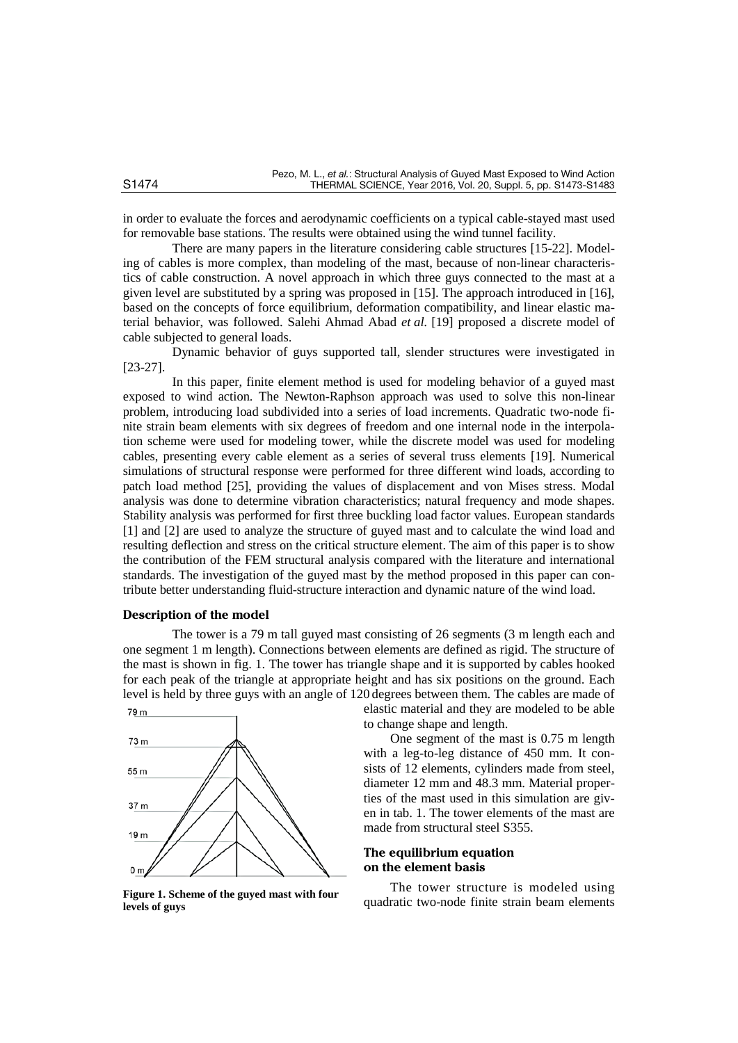in order to evaluate the forces and aerodynamic coefficients on a typical cable-stayed mast used for removable base stations. The results were obtained using the wind tunnel facility.

There are many papers in the literature considering cable structures [15-22]. Modeling of cables is more complex, than modeling of the mast, because of non-linear characteristics of cable construction. A novel approach in which three guys connected to the mast at a given level are substituted by a spring was proposed in [15]. The approach introduced in [16], based on the concepts of force equilibrium, deformation compatibility, and linear elastic material behavior, was followed. Salehi Ahmad Abad *et al.* [19] proposed a discrete model of cable subjected to general loads.

Dynamic behavior of guys supported tall, slender structures were investigated in [23-27].

In this paper, finite element method is used for modeling behavior of a guyed mast exposed to wind action. The Newton-Raphson approach was used to solve this non-linear problem, introducing load subdivided into a series of load increments. Quadratic two-node finite strain beam elements with six degrees of freedom and one internal node in the interpolation scheme were used for modeling tower, while the discrete model was used for modeling cables, presenting every cable element as a series of several truss elements [19]. Numerical simulations of structural response were performed for three different wind loads, according to patch load method [25], providing the values of displacement and von Mises stress. Modal analysis was done to determine vibration characteristics; natural frequency and mode shapes. Stability analysis was performed for first three buckling load factor values. European standards [1] and [2] are used to analyze the structure of guyed mast and to calculate the wind load and resulting deflection and stress on the critical structure element. The aim of this paper is to show the contribution of the FEM structural analysis compared with the literature and international standards. The investigation of the guyed mast by the method proposed in this paper can contribute better understanding fluid-structure interaction and dynamic nature of the wind load.

#### **Description of the model**

The tower is a 79 m tall guyed mast consisting of 26 segments (3 m length each and one segment 1 m length). Connections between elements are defined as rigid. The structure of the mast is shown in fig. 1. The tower has triangle shape and it is supported by cables hooked for each peak of the triangle at appropriate height and has six positions on the ground. Each level is held by three guys with an angle of 120 degrees between them. The cables are made of



**levels of guys**

elastic material and they are modeled to be able to change shape and length.

One segment of the mast is 0.75 m length with a leg-to-leg distance of 450 mm. It consists of 12 elements, cylinders made from steel, diameter 12 mm and 48.3 mm. Material properties of the mast used in this simulation are given in tab. 1. The tower elements of the mast are made from structural steel S355.

## **The equilibrium equation on the element basis**

The tower structure is modeled using Figure 1. Scheme of the guyed mast with four<br>quadratic two-node finite strain beam elements **Figure**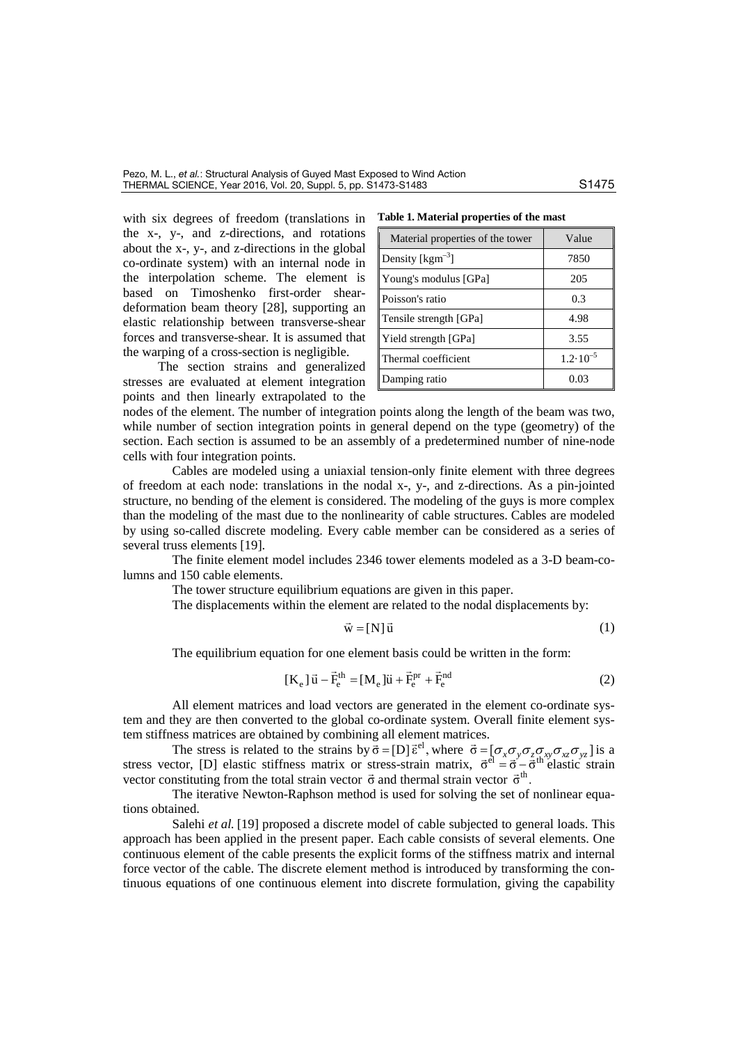with six degrees of freedom (translations in the x-, y-, and z-directions, and rotations about the x-, y-, and z-directions in the global co-ordinate system) with an internal node in the interpolation scheme. The element is based on Timoshenko first-order sheardeformation beam theory [28], supporting an elastic relationship between transverse-shear forces and transverse-shear. It is assumed that the warping of a cross-section is negligible.

The section strains and generalized stresses are evaluated at element integration points and then linearly extrapolated to the

| Table 1. Material properties of the mast |  |  |  |  |
|------------------------------------------|--|--|--|--|
|------------------------------------------|--|--|--|--|

| Material properties of the tower | Value               |
|----------------------------------|---------------------|
| Density [ $\text{kgm}^{-3}$ ]    | 7850                |
| Young's modulus [GPa]            | 205                 |
| Poisson's ratio                  | 0.3                 |
| Tensile strength [GPa]           | 4.98                |
| Yield strength [GPa]             | 3.55                |
| Thermal coefficient              | $1.2 \cdot 10^{-5}$ |
| Damping ratio                    | 0.03                |

nodes of the element. The number of integration points along the length of the beam was two, while number of section integration points in general depend on the type (geometry) of the section. Each section is assumed to be an assembly of a predetermined number of nine-node cells with four integration points.

Cables are modeled using a uniaxial tension-only finite element with three degrees of freedom at each node: translations in the nodal x-, y-, and z-directions. As a pin-jointed structure, no bending of the element is considered. The modeling of the guys is more complex than the modeling of the mast due to the nonlinearity of cable structures. Cables are modeled by using so-called discrete modeling. Every cable member can be considered as a series of several truss elements [19].

The finite element model includes 2346 tower elements modeled as a 3-D beam-columns and 150 cable elements.

The tower structure equilibrium equations are given in this paper.

The displacements within the element are related to the nodal displacements by:

$$
\vec{w} = [N]\vec{u} \tag{1}
$$

The equilibrium equation for one element basis could be written in the form:

$$
[\mathbf{K}_e] \vec{u} - \vec{F}_e^{th} = [\mathbf{M}_e] \vec{u} + \vec{F}_e^{pr} + \vec{F}_e^{nd}
$$
 (2)

All element matrices and load vectors are generated in the element co-ordinate system and they are then converted to the global co-ordinate system. Overall finite element system stiffness matrices are obtained by combining all element matrices.

The stress is related to the strains by  $\vec{\sigma} = [D] \vec{\epsilon}^{el}$ , where  $\vec{\sigma} = [\sigma_x \sigma_y \sigma_z \sigma_x \sigma_{yz} \sigma_{xz} \sigma_y \sigma_z]$  is a stress vector, [D] elastic stiffness matrix or stress-strain matrix,  $\vec{\sigma}^{el} = \vec{\sigma} - \dot{\vec{\sigma}}^{th}$  elastic strain vector constituting from the total strain vector  $\vec{\sigma}$  and thermal strain vector  $\vec{\sigma}^{\text{th}}$ .

The iterative Newton-Raphson method is used for solving the set of nonlinear equations obtained.

Salehi *et al.* [19] proposed a discrete model of cable subjected to general loads. This approach has been applied in the present paper. Each cable consists of several elements. One continuous element of the cable presents the explicit forms of the stiffness matrix and internal force vector of the cable. The discrete element method is introduced by transforming the continuous equations of one continuous element into discrete formulation, giving the capability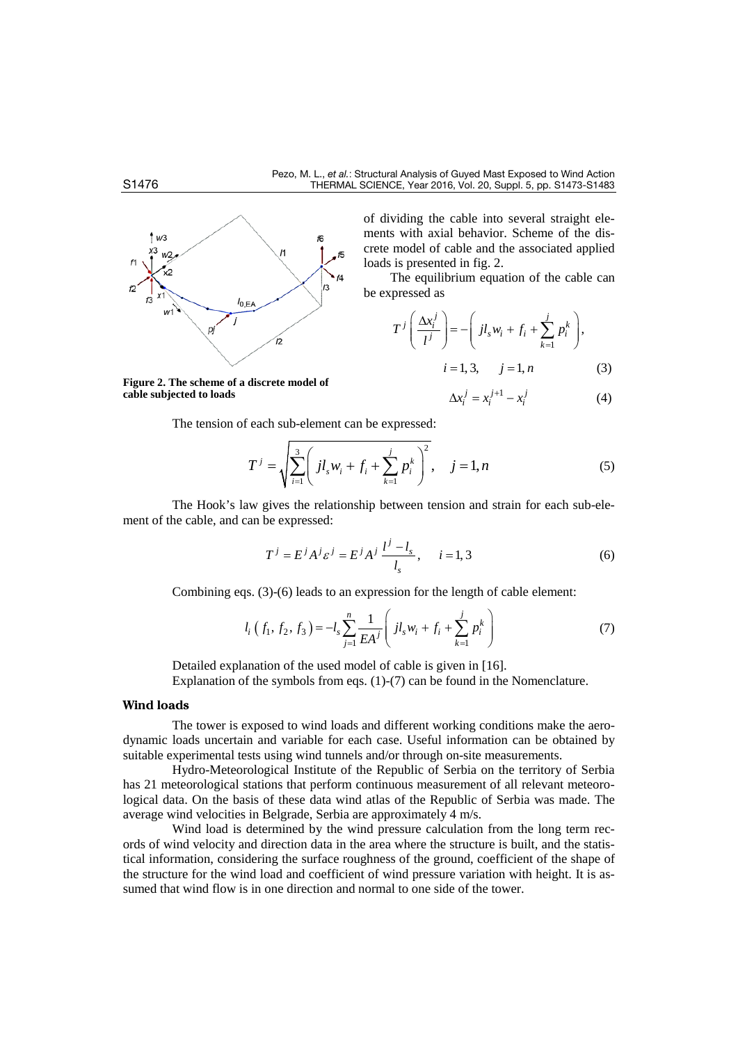

**Figure 2. The scheme of a discrete model of cable subjected to loads**

of dividing the cable into several straight elements with axial behavior. Scheme of the discrete model of cable and the associated applied loads is presented in fig. 2.

The equilibrium equation of the cable can be expressed as

$$
T^{j}\left(\frac{\Delta x_{i}^{j}}{l^{j}}\right) = -\left(jl_{s}w_{i} + f_{i} + \sum_{k=1}^{j} p_{i}^{k}\right),
$$

$$
i = 1, 3, \quad j = 1, n
$$
 (3)

$$
\Delta x_i^j = x_i^{j+1} - x_i^j \tag{4}
$$

The tension of each sub-element can be expressed:

$$
T^{j} = \sqrt{\sum_{i=1}^{3} \left( j l_{s} w_{i} + f_{i} + \sum_{k=1}^{j} p_{i}^{k} \right)^{2}}, \quad j = 1, n
$$
 (5)

The Hook's law gives the relationship between tension and strain for each sub-element of the cable, and can be expressed:

$$
T^{j} = E^{j} A^{j} \varepsilon^{j} = E^{j} A^{j} \frac{l^{j} - l_{s}}{l_{s}}, \quad i = 1, 3
$$
 (6)

Combining eqs. (3)-(6) leads to an expression for the length of cable element:

$$
l_i(f_1, f_2, f_3) = -l_s \sum_{j=1}^n \frac{1}{EA^j} \left( j l_s w_i + f_i + \sum_{k=1}^j p_i^k \right)
$$
 (7)

Detailed explanation of the used model of cable is given in [16]. Explanation of the symbols from eqs. (1)-(7) can be found in the Nomenclature.

#### **Wind loads**

The tower is exposed to wind loads and different working conditions make the aerodynamic loads uncertain and variable for each case. Useful information can be obtained by suitable experimental tests using wind tunnels and/or through on-site measurements.

Hydro-Meteorological Institute of the Republic of Serbia on the territory of Serbia has 21 meteorological stations that perform continuous measurement of all relevant meteorological data. On the basis of these data wind atlas of the Republic of Serbia was made. The average wind velocities in Belgrade, Serbia are approximately 4 m/s.

Wind load is determined by the wind pressure calculation from the long term records of wind velocity and direction data in the area where the structure is built, and the statistical information, considering the surface roughness of the ground, coefficient of the shape of the structure for the wind load and coefficient of wind pressure variation with height. It is assumed that wind flow is in one direction and normal to one side of the tower.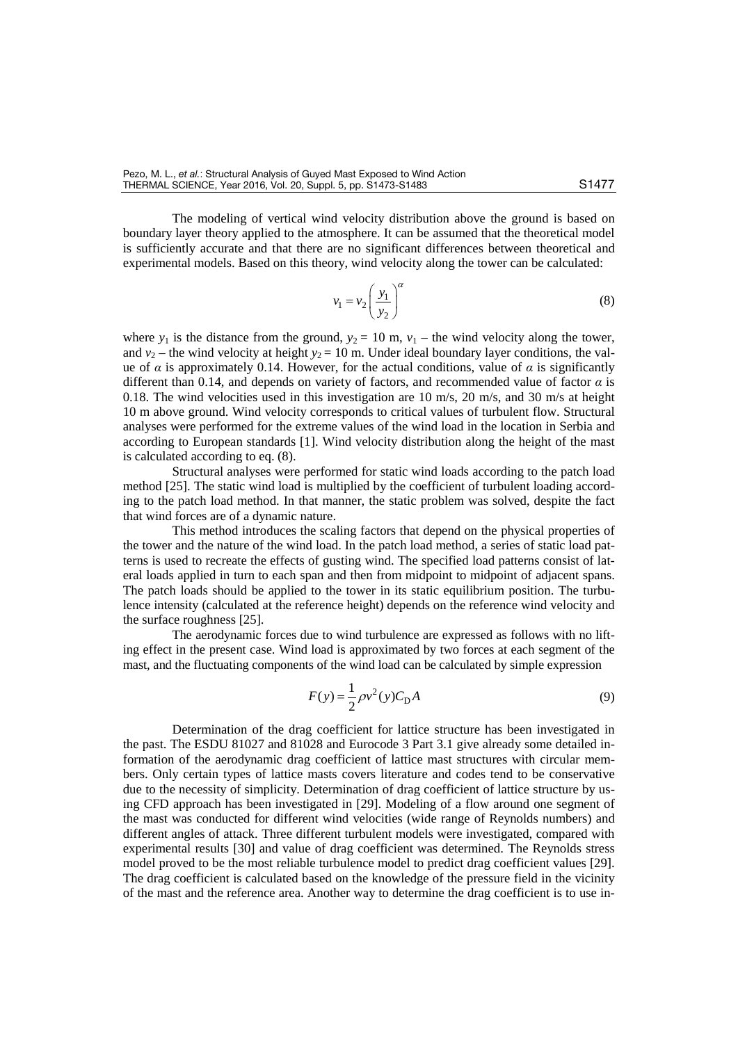The modeling of vertical wind velocity distribution above the ground is based on boundary layer theory applied to the atmosphere. It can be assumed that the theoretical model is sufficiently accurate and that there are no significant differences between theoretical and experimental models. Based on this theory, wind velocity along the tower can be calculated:

$$
v_1 = v_2 \left(\frac{y_1}{y_2}\right)^{\alpha} \tag{8}
$$

where  $y_1$  is the distance from the ground,  $y_2 = 10$  m,  $v_1$  – the wind velocity along the tower, and  $v_2$  – the wind velocity at height  $y_2$  = 10 m. Under ideal boundary layer conditions, the value of *α* is approximately 0.14. However, for the actual conditions, value of *α* is significantly different than 0.14, and depends on variety of factors, and recommended value of factor  $\alpha$  is 0.18. The wind velocities used in this investigation are 10 m/s, 20 m/s, and 30 m/s at height 10 m above ground. Wind velocity corresponds to critical values of turbulent flow. Structural analyses were performed for the extreme values of the wind load in the location in Serbia and according to European standards [1]. Wind velocity distribution along the height of the mast is calculated according to eq. (8).

Structural analyses were performed for static wind loads according to the patch load method [25]. The static wind load is multiplied by the coefficient of turbulent loading according to the patch load method. In that manner, the static problem was solved, despite the fact that wind forces are of a dynamic nature.

This method introduces the scaling factors that depend on the physical properties of the tower and the nature of the wind load. In the patch load method, a series of static load patterns is used to recreate the effects of gusting wind. The specified load patterns consist of lateral loads applied in turn to each span and then from midpoint to midpoint of adjacent spans. The patch loads should be applied to the tower in its static equilibrium position. The turbulence intensity (calculated at the reference height) depends on the reference wind velocity and the surface roughness [25].

The aerodynamic forces due to wind turbulence are expressed as follows with no lifting effect in the present case. Wind load is approximated by two forces at each segment of the mast, and the fluctuating components of the wind load can be calculated by simple expression

$$
F(y) = \frac{1}{2}\rho v^2(y)C_{D}A
$$
\n(9)

Determination of the drag coefficient for lattice structure has been investigated in the past. The ESDU 81027 and 81028 and Eurocode 3 Part 3.1 give already some detailed information of the aerodynamic drag coefficient of lattice mast structures with circular members. Only certain types of lattice masts covers literature and codes tend to be conservative due to the necessity of simplicity. Determination of drag coefficient of lattice structure by using CFD approach has been investigated in [29]. Modeling of a flow around one segment of the mast was conducted for different wind velocities (wide range of Reynolds numbers) and different angles of attack. Three different turbulent models were investigated, compared with experimental results [30] and value of drag coefficient was determined. The Reynolds stress model proved to be the most reliable turbulence model to predict drag coefficient values [29]. The drag coefficient is calculated based on the knowledge of the pressure field in the vicinity of the mast and the reference area. Another way to determine the drag coefficient is to use in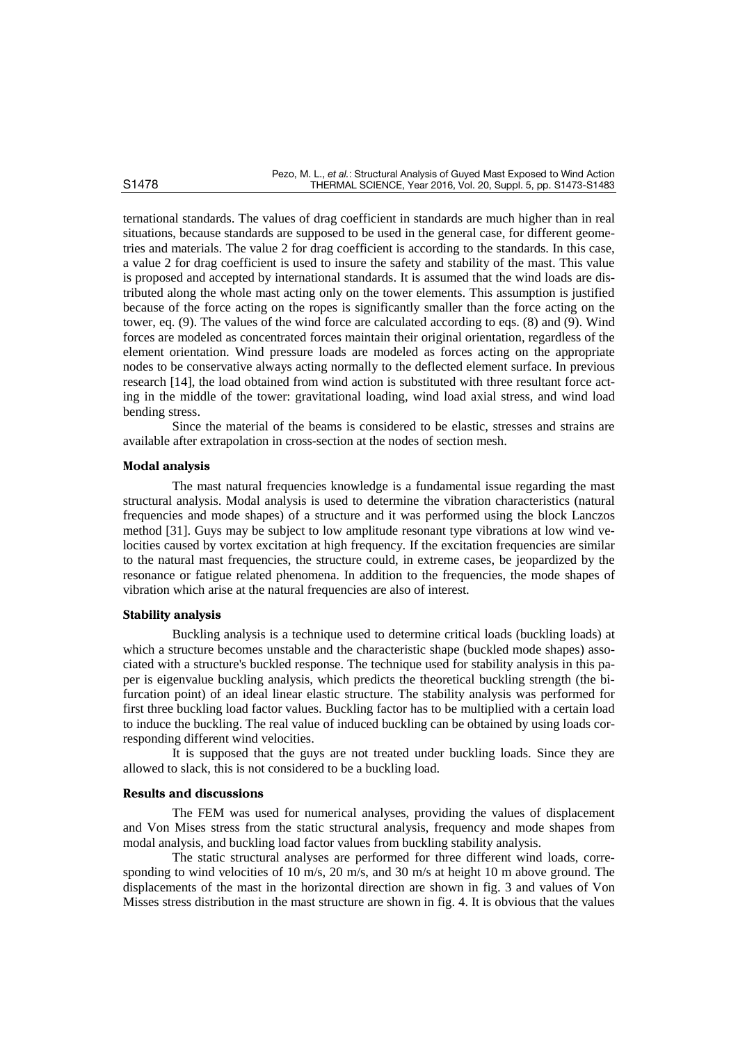ternational standards. The values of drag coefficient in standards are much higher than in real situations, because standards are supposed to be used in the general case, for different geometries and materials. The value 2 for drag coefficient is according to the standards. In this case, a value 2 for drag coefficient is used to insure the safety and stability of the mast. This value is proposed and accepted by international standards. It is assumed that the wind loads are distributed along the whole mast acting only on the tower elements. This assumption is justified because of the force acting on the ropes is significantly smaller than the force acting on the tower, eq. (9). The values of the wind force are calculated according to eqs. (8) and (9). Wind forces are modeled as concentrated forces maintain their original orientation, regardless of the element orientation. Wind pressure loads are modeled as forces acting on the appropriate nodes to be conservative always acting normally to the deflected element surface. In previous research [14], the load obtained from wind action is substituted with three resultant force acting in the middle of the tower: gravitational loading, wind load axial stress, and wind load bending stress.

Since the material of the beams is considered to be elastic, stresses and strains are available after extrapolation in cross-section at the nodes of section mesh.

#### **Modal analysis**

The mast natural frequencies knowledge is a fundamental issue regarding the mast structural analysis. Modal analysis is used to determine the vibration characteristics (natural frequencies and mode shapes) of a structure and it was performed using the block Lanczos method [31]. Guys may be subject to low amplitude resonant type vibrations at low wind velocities caused by vortex excitation at high frequency. If the excitation frequencies are similar to the natural mast frequencies, the structure could, in extreme cases, be jeopardized by the resonance or fatigue related phenomena. In addition to the frequencies, the mode shapes of vibration which arise at the natural frequencies are also of interest.

#### **Stability analysis**

Buckling analysis is a technique used to determine critical loads (buckling loads) at which a structure becomes unstable and the characteristic shape (buckled mode shapes) associated with a structure's buckled response. The technique used for stability analysis in this paper is eigenvalue buckling analysis, which predicts the theoretical buckling strength (the bifurcation point) of an ideal linear elastic structure. The stability analysis was performed for first three buckling load factor values. Buckling factor has to be multiplied with a certain load to induce the buckling. The real value of induced buckling can be obtained by using loads corresponding different wind velocities.

It is supposed that the guys are not treated under buckling loads. Since they are allowed to slack, this is not considered to be a buckling load.

#### **Results and discussions**

The FEM was used for numerical analyses, providing the values of displacement and Von Mises stress from the static structural analysis, frequency and mode shapes from modal analysis, and buckling load factor values from buckling stability analysis.

The static structural analyses are performed for three different wind loads, corresponding to wind velocities of 10 m/s, 20 m/s, and 30 m/s at height 10 m above ground. The displacements of the mast in the horizontal direction are shown in fig. 3 and values of Von Misses stress distribution in the mast structure are shown in fig. 4. It is obvious that the values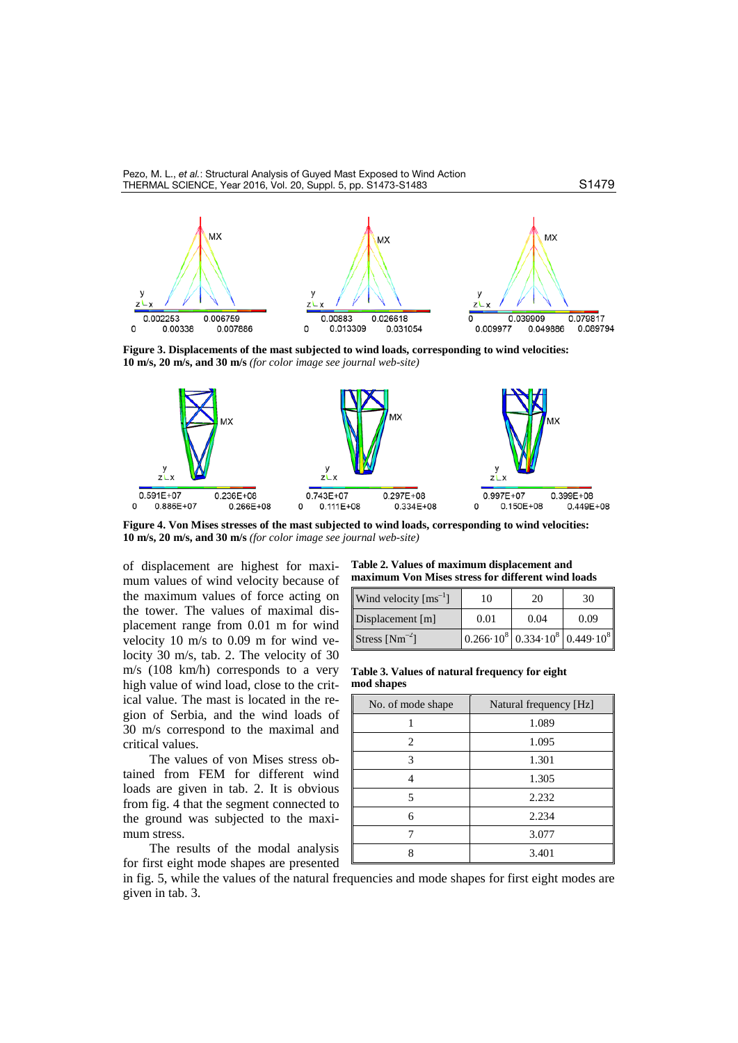Pezo, M. L., *et al.*: Structural Analysis of Guyed Mast Exposed to Wind Action THERMAL SCIENCE, Year 2016, Vol. 20, Suppl. 5, pp. [S1473-](#page-0-0)[S1483](#page-10-0) S1479



**Figure 3. Displacements of the mast subjected to wind loads, corresponding to wind velocities: 10 m/s, 20 m/s, and 30 m/s** *(for color image see journal web-site)*



**Figure 4. Von Mises stresses of the mast subjected to wind loads, corresponding to wind velocities: 10 m/s, 20 m/s, and 30 m/s** *(for color image see journal web-site)*

of displacement are highest for maximum values of wind velocity because of the maximum values of force acting on the tower. The values of maximal displacement range from 0.01 m for wind velocity 10 m/s to 0.09 m for wind velocity 30 m/s, tab. 2. The velocity of 30 m/s (108 km/h) corresponds to a very high value of wind load, close to the critical value. The mast is located in the region of Serbia, and the wind loads of 30 m/s correspond to the maximal and critical values.

The values of von Mises stress obtained from FEM for different wind loads are given in tab. 2. It is obvious from fig. 4 that the segment connected to the ground was subjected to the maximum stress.

The results of the modal analysis for first eight mode shapes are presented

**Table 2. Values of maximum displacement and maximum Von Mises stress for different wind loads**

| Wind velocity $\text{[ms}^{-1}]$ | 10   | 20   | 30                                                                                 |
|----------------------------------|------|------|------------------------------------------------------------------------------------|
| Displacement $[m]$               | 0.01 | 0.04 | 0.09                                                                               |
| Stress $[Nm^{-2}]$               |      |      | $\left  0.266 \cdot 10^8 \right  0.334 \cdot 10^8 \left  0.449 \cdot 10^8 \right $ |

**Table 3. Values of natural frequency for eight mod shapes**

| No. of mode shape | Natural frequency [Hz] |
|-------------------|------------------------|
|                   | 1.089                  |
| 2                 | 1.095                  |
| 3                 | 1.301                  |
|                   | 1.305                  |
| 5                 | 2.232                  |
| 6                 | 2.234                  |
|                   | 3.077                  |
| Q                 | 3.401                  |

in fig. 5, while the values of the natural frequencies and mode shapes for first eight modes are given in tab. 3.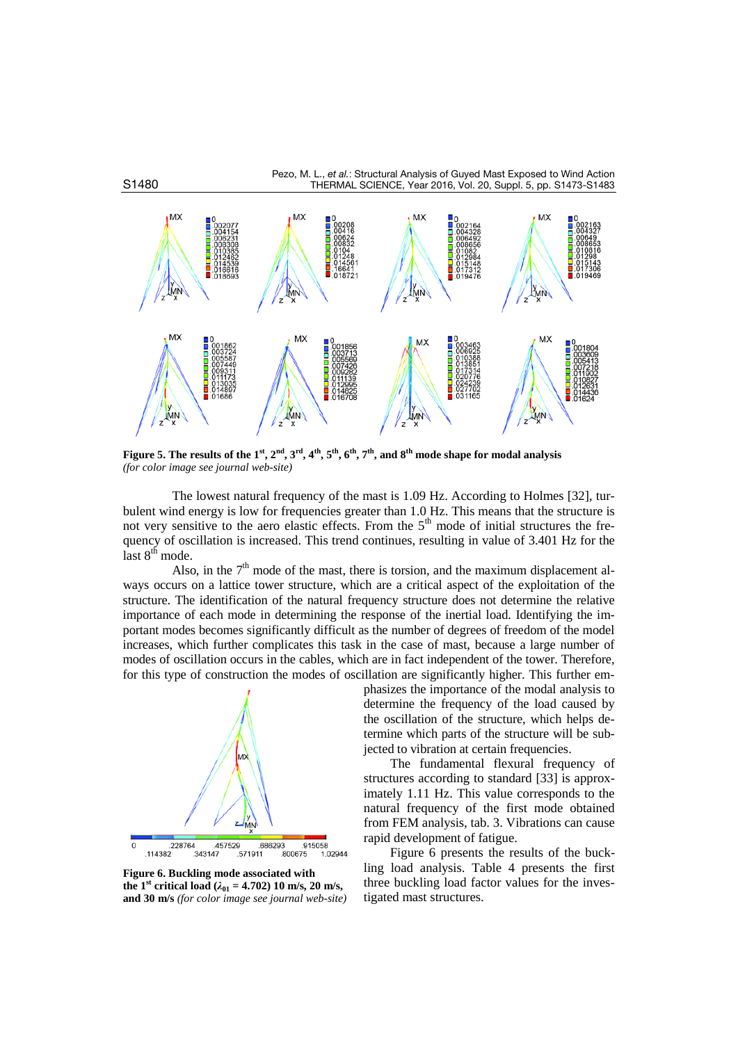



**Figure 5. The results of the 1st, 2nd, 3rd, 4th, 5th, 6th, 7th, and 8th mode shape for modal analysis** *(for color image see journal web-site)*

The lowest natural frequency of the mast is 1.09 Hz. According to Holmes [32], turbulent wind energy is low for frequencies greater than 1.0 Hz. This means that the structure is not very sensitive to the aero elastic effects. From the  $5<sup>th</sup>$  mode of initial structures the frequency of oscillation is increased. This trend continues, resulting in value of 3.401 Hz for the last  $8<sup>th</sup>$  mode.

Also, in the  $7<sup>th</sup>$  mode of the mast, there is torsion, and the maximum displacement always occurs on a lattice tower structure, which are a critical aspect of the exploitation of the structure. The identification of the natural frequency structure does not determine the relative importance of each mode in determining the response of the inertial load. Identifying the important modes becomes significantly difficult as the number of degrees of freedom of the model increases, which further complicates this task in the case of mast, because a large number of modes of oscillation occurs in the cables, which are in fact independent of the tower. Therefore, for this type of construction the modes of oscillation are significantly higher. This further em-



**Figure 6. Buckling mode associated with the 1<sup>st</sup> critical load** ( $\lambda_{01} = 4.702$ ) 10 m/s, 20 m/s, **and 30 m/s** *(for color image see journal web-site)*

phasizes the importance of the modal analysis to determine the frequency of the load caused by the oscillation of the structure, which helps determine which parts of the structure will be subjected to vibration at certain frequencies.

The fundamental flexural frequency of structures according to standard [33] is approximately 1.11 Hz. This value corresponds to the natural frequency of the first mode obtained from FEM analysis, tab. 3. Vibrations can cause rapid development of fatigue.

Figure 6 presents the results of the buckling load analysis. Table 4 presents the first three buckling load factor values for the investigated mast structures.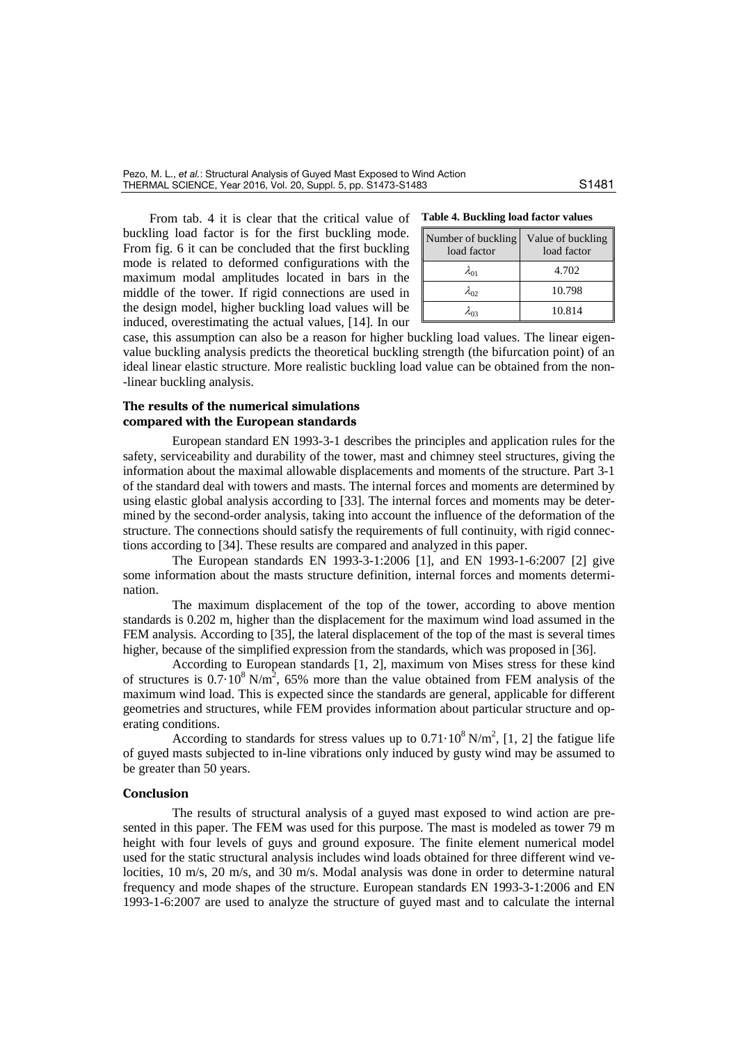From tab. 4 it is clear that the critical value of Ta buckling load factor is for the first buckling mode. From fig. 6 it can be concluded that the first buckling mode is related to deformed configurations with the maximum modal amplitudes located in bars in the middle of the tower. If rigid connections are used in the design model, higher buckling load values will be induced, overestimating the actual values, [14]. In our

| Table 4. Buckling load factor values |  |
|--------------------------------------|--|
|--------------------------------------|--|

| Number of buckling<br>load factor | Value of buckling<br>load factor |
|-----------------------------------|----------------------------------|
| $\lambda_{01}$                    | 4.702                            |
| $\lambda_{02}$                    | 10.798                           |
| λo2                               | 10.814                           |

case, this assumption can also be a reason for higher buckling load values. The linear eigenvalue buckling analysis predicts the theoretical buckling strength (the bifurcation point) of an ideal linear elastic structure. More realistic buckling load value can be obtained from the non- -linear buckling analysis.

### **The results of the numerical simulations compared with the European standards**

European standard EN 1993-3-1 describes the principles and application rules for the safety, serviceability and durability of the tower, mast and chimney steel structures, giving the information about the maximal allowable displacements and moments of the structure. Part 3-1 of the standard deal with towers and masts. The internal forces and moments are determined by using elastic global analysis according to [33]. The internal forces and moments may be determined by the second-order analysis, taking into account the influence of the deformation of the structure. The connections should satisfy the requirements of full continuity, with rigid connections according to [34]. These results are compared and analyzed in this paper.

The European standards EN 1993-3-1:2006 [1], and EN 1993-1-6:2007 [2] give some information about the masts structure definition, internal forces and moments determination.

The maximum displacement of the top of the tower, according to above mention standards is 0.202 m, higher than the displacement for the maximum wind load assumed in the FEM analysis. According to [35], the lateral displacement of the top of the mast is several times higher, because of the simplified expression from the standards, which was proposed in [36].

According to European standards [1, 2], maximum von Mises stress for these kind of structures is  $0.7 \cdot 10^8$  N/m<sup>2</sup>, 65% more than the value obtained from FEM analysis of the maximum wind load. This is expected since the standards are general, applicable for different geometries and structures, while FEM provides information about particular structure and operating conditions.

According to standards for stress values up to  $0.71 \cdot 10^8$  N/m<sup>2</sup>, [1, 2] the fatigue life of guyed masts subjected to in-line vibrations only induced by gusty wind may be assumed to be greater than 50 years.

## **Conclusion**

The results of structural analysis of a guyed mast exposed to wind action are presented in this paper. The FEM was used for this purpose. The mast is modeled as tower 79 m height with four levels of guys and ground exposure. The finite element numerical model used for the static structural analysis includes wind loads obtained for three different wind velocities, 10 m/s, 20 m/s, and 30 m/s. Modal analysis was done in order to determine natural frequency and mode shapes of the structure. European standards EN 1993-3-1:2006 and EN 1993-1-6:2007 are used to analyze the structure of guyed mast and to calculate the internal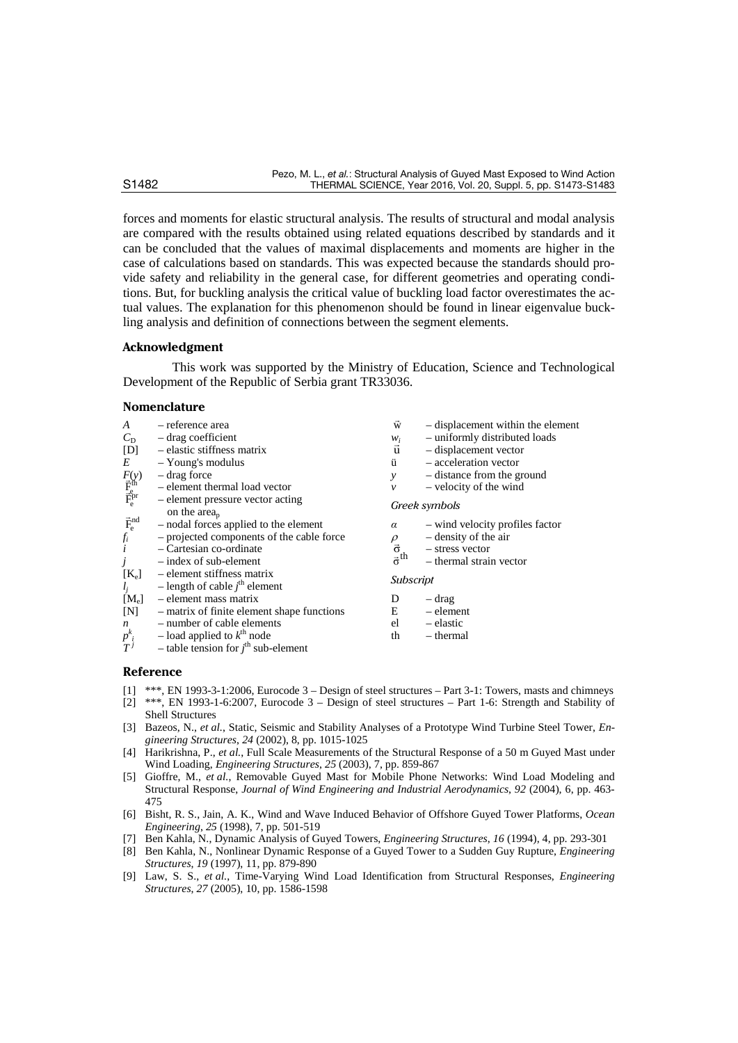forces and moments for elastic structural analysis. The results of structural and modal analysis are compared with the results obtained using related equations described by standards and it can be concluded that the values of maximal displacements and moments are higher in the case of calculations based on standards. This was expected because the standards should provide safety and reliability in the general case, for different geometries and operating conditions. But, for buckling analysis the critical value of buckling load factor overestimates the actual values. The explanation for this phenomenon should be found in linear eigenvalue buckling analysis and definition of connections between the segment elements.

#### **Acknowledgment**

This work was supported by the Ministry of Education, Science and Technological Development of the Republic of Serbia grant TR33036.

#### **Nomenclature**

| A                                                                 | - reference area                                                        | W                                      | - displacement within the element |
|-------------------------------------------------------------------|-------------------------------------------------------------------------|----------------------------------------|-----------------------------------|
| $C_{\rm D}$                                                       | $-$ drag coefficient                                                    | $W_i$                                  | - uniformly distributed loads     |
| [D]                                                               | - elastic stiffness matrix                                              | $\vec{u}$                              | - displacement vector             |
| $E_{-}$                                                           | - Young's modulus                                                       | ü                                      | - acceleration vector             |
|                                                                   | – drag force                                                            | y                                      | - distance from the ground        |
|                                                                   | - element thermal load vector                                           | $\mathcal V$                           | - velocity of the wind            |
| $F_{\vec E_{\rm e}^{\rm th}}^{\rm (V)}$ $\bar F_{\rm e}^{\rm ph}$ | - element pressure vector acting<br>on the $area_p$                     |                                        | Greek symbols                     |
|                                                                   | - nodal forces applied to the element                                   | $\alpha$                               | - wind velocity profiles factor   |
| $\vec{F}_{e}^{nd}$<br>$f_{i}$<br>$i$                              | - projected components of the cable force                               | $\rho$                                 | $-$ density of the air            |
|                                                                   | $-$ Cartesian co-ordinate                                               | $\frac{\vec{\sigma}}{\vec{\sigma}}$ th | - stress vector                   |
| j                                                                 | $-$ index of sub-element                                                |                                        | - thermal strain vector           |
| $[K_e]$<br>$l_j$                                                  | - element stiffness matrix<br>- length of cable $j^{\text{th}}$ element | Subscript                              |                                   |
| $[M_e]$                                                           | - element mass matrix                                                   | D                                      | – drag                            |
| [N]                                                               | - matrix of finite element shape functions                              | Е                                      | – element                         |
|                                                                   | - number of cable elements                                              | el                                     | – elastic                         |
| $n p^k_{i}$<br>$T^j$                                              | - load applied to $k^{\text{th}}$ node                                  | th                                     | – thermal                         |
|                                                                   | - table tension for $j^{\text{th}}$ sub-element                         |                                        |                                   |

#### **Reference**

- [1] \*\*\*, EN 1993-3-1:2006, Eurocode 3 Design of steel structures Part 3-1: Towers, masts and chimneys
- [2] \*\*\*, EN 1993-1-6:2007, Eurocode 3 Design of steel structures Part 1-6: Strength and Stability of Shell Structures
- [3] Bazeos, N., *et al.*, Static, Seismic and Stability Analyses of a Prototype Wind Turbine Steel Tower, *Engineering Structures*, *24* (2002), 8, pp. 1015-1025
- [4] Harikrishna, P., *et al.*, Full Scale Measurements of the Structural Response of a 50 m Guyed Mast under Wind Loading, *Engineering Structures*, *25* (2003), 7, pp. 859-867
- [5] Gioffre, M., *et al.*, Removable Guyed Mast for Mobile Phone Networks: Wind Load Modeling and Structural Response, *Journal of Wind Engineering and Industrial Aerodynamics*, *92* (2004), 6, pp. 463- 475
- [6] Bisht, R. S., Jain, A. K., Wind and Wave Induced Behavior of Offshore Guyed Tower Platforms, *Ocean Engineering*, *25* (1998), 7, pp. 501-519
- [7] Ben Kahla, N., Dynamic Analysis of Guyed Towers, *Engineering Structures*, *16* (1994), 4, pp. 293-301
- [8] Ben Kahla, N., Nonlinear Dynamic Response of a Guyed Tower to a Sudden Guy Rupture, *Engineering Structures*, *19* (1997), 11, pp. 879-890
- [9] Law, S. S., *et al.*, Time-Varying Wind Load Identification from Structural Responses, *Engineering Structures*, *27* (2005), 10, pp. 1586-1598